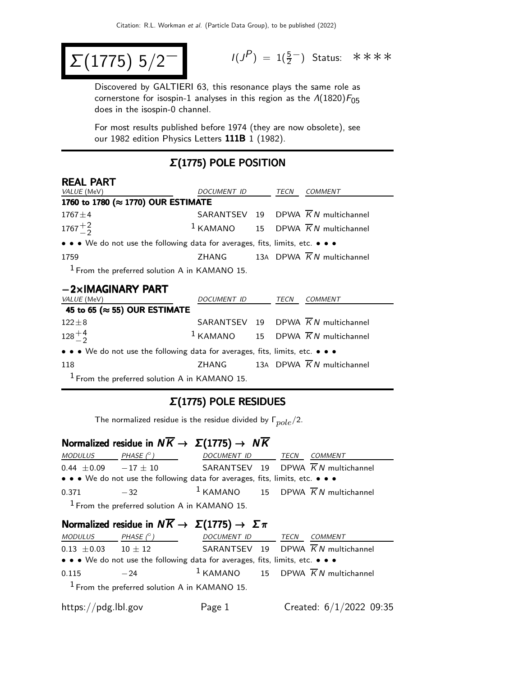$$
\Sigma(1775) 5/2^-
$$

$$
I(J^P) = 1(\frac{5}{2}^-)
$$
 Status:  $***$ 

Discovered by GALTIERI 63, this resonance plays the same role as cornerstone for isospin-1 analyses in this region as the  $\Lambda(1820)F_{05}$ does in the isospin-0 channel.

For most results published before 1974 (they are now obsolete), see our 1982 edition Physics Letters 111B 1 (1982).

### Σ(1775) POLE POSITION

| <b>REAL PART</b> |  |
|------------------|--|
|                  |  |

| <i>VALUE</i> (MeV)                                                            | <i>DOCUMENT ID</i> | TECN | COMMENT                                         |
|-------------------------------------------------------------------------------|--------------------|------|-------------------------------------------------|
| 1760 to 1780 (≈ 1770) OUR ESTIMATE                                            |                    |      |                                                 |
| $1767 \pm 4$                                                                  |                    |      | SARANTSEV 19 DPWA $\overline{K}N$ multichannel  |
| $1767 + \frac{2}{2}$                                                          |                    |      | $1$ KAMANO 15 DPWA $\overline{K}N$ multichannel |
| • • • We do not use the following data for averages, fits, limits, etc. • • • |                    |      |                                                 |
| 1759                                                                          |                    |      | ZHANG 13A DPWA $\overline{K}N$ multichannel     |
| $1$ From the preferred solution A in KAMANO 15.                               |                    |      |                                                 |

#### −2×IMAGINARY PART

| <i>VALUE</i> (MeV)                                                            | DOCUMENT ID | TECN | COMMENT                                                  |
|-------------------------------------------------------------------------------|-------------|------|----------------------------------------------------------|
| 45 to 65 ( $\approx$ 55) OUR ESTIMATE                                         |             |      |                                                          |
| $122 \pm 8$                                                                   |             |      | SARANTSEV 19 DPWA $\overline{K}N$ multichannel           |
| $128^{+4}_{-2}$                                                               |             |      | <sup>1</sup> KAMANO 15 DPWA $\overline{K}N$ multichannel |
| • • • We do not use the following data for averages, fits, limits, etc. • • • |             |      |                                                          |
| 118                                                                           | ZHANG       |      | 13A DPWA $\overline{K}N$ multichannel                    |
| $1$ From the preferred solution A in KAMANO 15.                               |             |      |                                                          |

#### Σ(1775) POLE RESIDUES

The normalized residue is the residue divided by  $\Gamma_{pole}/2$ .

# Normalized residue in  $N\overline{K}\rightarrow \ \Sigma(1775) \rightarrow \ N\overline{K}$

| MODULUS                    | PHASE $(^\circ)$ | DOCUMENT ID TECN                                                              |  | <i>COMMENT</i>                                           |
|----------------------------|------------------|-------------------------------------------------------------------------------|--|----------------------------------------------------------|
| $0.44 \pm 0.09 -17 \pm 10$ |                  |                                                                               |  | SARANTSEV 19 DPWA $\overline{K}N$ multichannel           |
|                            |                  | • • • We do not use the following data for averages, fits, limits, etc. • • • |  |                                                          |
| 0.371                      | $-32$            |                                                                               |  | <sup>1</sup> KAMANO 15 DPWA $\overline{K}N$ multichannel |
|                            |                  |                                                                               |  |                                                          |

From the preferred solution A in KAMANO 15.

### Normalized residue in  $N\overline{K} \to \Sigma(1775) \to \Sigma \pi$

| <i>MODULUS</i>  | PHASE $(^\circ)$                                                                                                      | DOCUMENT ID | TECN | <i>COMMENT</i>                                           |
|-----------------|-----------------------------------------------------------------------------------------------------------------------|-------------|------|----------------------------------------------------------|
| $0.13 \pm 0.03$ | $10 + 12$                                                                                                             |             |      | SARANTSEV 19 DPWA $\overline{K}N$ multichannel           |
|                 | $\bullet \bullet \bullet$ We do not use the following data for averages, fits, limits, etc. $\bullet \bullet \bullet$ |             |      |                                                          |
| 0.115           | $-24$                                                                                                                 |             |      | <sup>1</sup> KAMANO 15 DPWA $\overline{K}N$ multichannel |
|                 | $1$ From the preferred solution A in KAMANO 15.                                                                       |             |      |                                                          |

https://pdg.lbl.gov Page 1 Created: 6/1/2022 09:35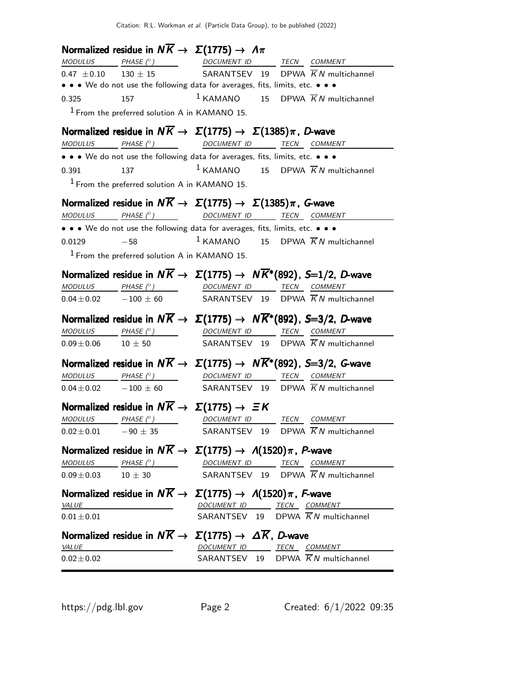|                             |                                                 | Normalized residue in $N\overline{K} \rightarrow \Sigma(1775) \rightarrow \Lambda \pi$                                                                                                                                                                                                                                                                                                                                                                                    |  |
|-----------------------------|-------------------------------------------------|---------------------------------------------------------------------------------------------------------------------------------------------------------------------------------------------------------------------------------------------------------------------------------------------------------------------------------------------------------------------------------------------------------------------------------------------------------------------------|--|
|                             |                                                 |                                                                                                                                                                                                                                                                                                                                                                                                                                                                           |  |
|                             |                                                 | $\frac{MODULUS}{130 \pm 15}$ $\frac{PHASE (^{\circ})}{130 \pm 15}$ $\frac{DOCUMENT ID}{SARANTSEV}$ $\frac{TECN}{D}$ $\frac{COMMENT}{KN}$ multichannel                                                                                                                                                                                                                                                                                                                     |  |
|                             |                                                 | • • • We do not use the following data for averages, fits, limits, etc. • • •                                                                                                                                                                                                                                                                                                                                                                                             |  |
| 0.325 157                   |                                                 | $1$ KAMANO 15 DPWA $\overline{K}N$ multichannel                                                                                                                                                                                                                                                                                                                                                                                                                           |  |
|                             | $1$ From the preferred solution A in KAMANO 15. |                                                                                                                                                                                                                                                                                                                                                                                                                                                                           |  |
|                             |                                                 | Normalized residue in $N\overline{K} \to \Sigma(1775) \to \Sigma(1385)\pi$ , D-wave                                                                                                                                                                                                                                                                                                                                                                                       |  |
|                             |                                                 | MODULUS PHASE (° ) DOCUMENT ID TECN COMMENT                                                                                                                                                                                                                                                                                                                                                                                                                               |  |
|                             |                                                 | • • • We do not use the following data for averages, fits, limits, etc. • • •                                                                                                                                                                                                                                                                                                                                                                                             |  |
| 0.391 137                   |                                                 | $1$ KAMANO 15 DPWA $\overline{K}N$ multichannel                                                                                                                                                                                                                                                                                                                                                                                                                           |  |
|                             | $1$ From the preferred solution A in KAMANO 15. |                                                                                                                                                                                                                                                                                                                                                                                                                                                                           |  |
|                             |                                                 | Normalized residue in $N\overline{K} \to \Sigma(1775) \to \Sigma(1385)\pi$ , G-wave                                                                                                                                                                                                                                                                                                                                                                                       |  |
|                             |                                                 | $\begin{array}{ccc}\textit{MODULUS} & \textit{PHASE (}^{\circ}) & \textit{OOCUMENT ID} & \textit{TECN} & \textit{COMMENT}\end{array}$                                                                                                                                                                                                                                                                                                                                     |  |
|                             |                                                 | • • • We do not use the following data for averages, fits, limits, etc. • • •                                                                                                                                                                                                                                                                                                                                                                                             |  |
|                             |                                                 | 0.0129 -58 1 KAMANO 15 DPWA $\overline{K}N$ multichannel                                                                                                                                                                                                                                                                                                                                                                                                                  |  |
|                             | $1$ From the preferred solution A in KAMANO 15. |                                                                                                                                                                                                                                                                                                                                                                                                                                                                           |  |
|                             |                                                 | Normalized residue in $N\overline{K} \to \Sigma(1775) \to N\overline{K}^*(892)$ , S=1/2, D-wave                                                                                                                                                                                                                                                                                                                                                                           |  |
|                             |                                                 | $\frac{MODULUS}{0.04 \pm 0.02}$ $\frac{PHASE (°)}{-100 \pm 60}$ $\frac{DOCUMENT ID}{SARANTSEV}$ $\frac{TECN}{ID}$ $\frac{COMMENT}{KN}$ multichannel                                                                                                                                                                                                                                                                                                                       |  |
|                             |                                                 |                                                                                                                                                                                                                                                                                                                                                                                                                                                                           |  |
|                             |                                                 | Normalized residue in $N\overline{K} \to \Sigma(1775) \to N\overline{K}^*(892)$ , S=3/2, D-wave                                                                                                                                                                                                                                                                                                                                                                           |  |
|                             |                                                 | $\begin{array}{ccccccccc}\textit{MODULUS} & \textit{PHASE}& @ & \textit{DOCUMENT} & \textit{ID} & \textit{TECN} & \textit{COMMENT} & \textit{ONMENT} & \textit{ONMENT} & \textit{ONMENT} & \textit{ONMENT} & \textit{ONMENT} & \textit{ONMENT} & \textit{ONMENT} & \textit{ONMENT} & \textit{ONMENT} & \textit{ONMENT} & \textit{ONMENT} & \textit{ONMENT} & \textit{ONMENT} & \textit{ONMENT} & \textit{ONMENT} & \textit{ONMENT} & \textit{ONMENT} & \textit{ONMENT} &$ |  |
|                             |                                                 | $0.09 \pm 0.06$ 10 $\pm$ 50 SARANTSEV 19 DPWA $\overline{K}N$ multichannel                                                                                                                                                                                                                                                                                                                                                                                                |  |
|                             |                                                 |                                                                                                                                                                                                                                                                                                                                                                                                                                                                           |  |
|                             |                                                 | Normalized residue in $N\overline{K} \to \Sigma(1775) \to N\overline{K}^*(892)$ , S=3/2, G-wave                                                                                                                                                                                                                                                                                                                                                                           |  |
|                             |                                                 | $\begin{array}{ccccccccc} \textit{MODULUS} & \textit{PHASE (}^{\circ}) & \textit{OOCUMENT ID} & \textit{TECN} & \textit{COMMENT} & \textit{O.} \end{array}$                                                                                                                                                                                                                                                                                                               |  |
|                             |                                                 | $0.04 \pm 0.02$ -100 $\pm$ 60 SARANTSEV 19 DPWA $\overline{K}N$ multichannel                                                                                                                                                                                                                                                                                                                                                                                              |  |
|                             |                                                 | Normalized residue in $N\overline{K} \rightarrow \Sigma(1775) \rightarrow \Xi K$                                                                                                                                                                                                                                                                                                                                                                                          |  |
|                             |                                                 | MODULUS PHASE $(^\circ)$ DOCUMENT ID TECN COMMENT                                                                                                                                                                                                                                                                                                                                                                                                                         |  |
|                             |                                                 | $0.02 \pm 0.01$ -90 $\pm$ 35 SARANTSEV 19 DPWA $\overline{K}N$ multichannel                                                                                                                                                                                                                                                                                                                                                                                               |  |
|                             |                                                 | Normalized residue in $N\overline{K} \to \Sigma(1775) \to \Lambda(1520)\pi$ , P-wave                                                                                                                                                                                                                                                                                                                                                                                      |  |
|                             |                                                 | $\underline{\textit{MODULUS}} \qquad \underline{\textit{PHASE (^\circ)}} \qquad \qquad \underline{\textit{DOCUMENT ID}} \qquad \underline{\textit{TECN}} \quad \underline{\textit{COMMENT}}$                                                                                                                                                                                                                                                                              |  |
| $0.09 \pm 0.03$ $10 \pm 30$ |                                                 | SARANTSEV 19 DPWA $\overline{K}N$ multichannel                                                                                                                                                                                                                                                                                                                                                                                                                            |  |
|                             |                                                 | Normalized residue in $N\overline{K} \to \Sigma(1775) \to \Lambda(1520)\pi$ , F-wave                                                                                                                                                                                                                                                                                                                                                                                      |  |
| VALUE                       |                                                 | DOCUMENT ID TECN COMMENT                                                                                                                                                                                                                                                                                                                                                                                                                                                  |  |
| $0.01 + 0.01$               |                                                 | SARANTSEV 19 DPWA $\overline{K}N$ multichannel                                                                                                                                                                                                                                                                                                                                                                                                                            |  |
|                             |                                                 | Normalized residue in $N\overline{K} \to \Sigma(1775) \to \Delta \overline{K}$ , D-wave                                                                                                                                                                                                                                                                                                                                                                                   |  |
| <b>VALUE</b>                | <u> 1989 - Johann Barbara, martin a</u>         | DOCUMENT ID TECN COMMENT                                                                                                                                                                                                                                                                                                                                                                                                                                                  |  |
| $0.02 \pm 0.02$             |                                                 | SARANTSEV 19 DPWA $\overline{K}N$ multichannel                                                                                                                                                                                                                                                                                                                                                                                                                            |  |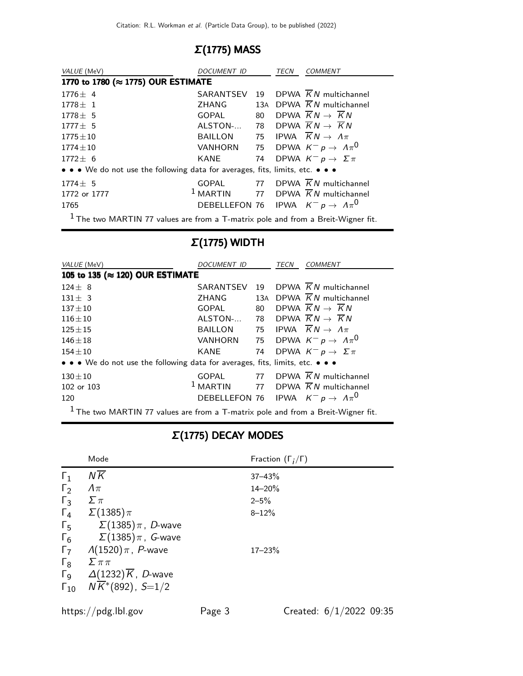### Σ(1775) MASS

| VALUE (MeV)                                                                   | DOCUMENT ID    | TECN | <b>COMMENT</b>                                    |
|-------------------------------------------------------------------------------|----------------|------|---------------------------------------------------|
| 1770 to 1780 (≈ 1775) OUR ESTIMATE                                            |                |      |                                                   |
| $1776 \pm 4$                                                                  |                |      | SARANTSEV 19 DPWA $\overline{K}N$ multichannel    |
| $1778 \pm 1$                                                                  | ZHANG          |      | 13A DPWA $\overline{K}N$ multichannel             |
| $1778 + 5$                                                                    | GOPAL          |      | 80 DPWA $\overline{K}N \rightarrow \overline{K}N$ |
| $1777 + 5$                                                                    | ALSTON-        |      | 78 DPWA $\overline{K}N \rightarrow \overline{K}N$ |
| $1775\pm10$                                                                   | BAILLON        |      | 75 IPWA $\overline{K}N \rightarrow \Lambda \pi$   |
| $1774 \pm 10$                                                                 | <b>VANHORN</b> |      | 75 DPWA $K^- p \rightarrow \Lambda \pi^0$         |
| $1772 + 6$                                                                    | KANE           |      | 74 DPWA $K^- p \rightarrow \Sigma \pi$            |
| • • • We do not use the following data for averages, fits, limits, etc. • • • |                |      |                                                   |
| $1774 \pm 5$                                                                  |                |      | GOPAL 77 DPWA $\overline{K}N$ multichannel        |
| 1772 or 1777                                                                  | $1$ MARTIN     |      | 77 DPWA $\overline{K}N$ multichannel              |
| 1765                                                                          |                |      | DEBELLEFON 76 IPWA $K^- p \rightarrow A \pi^0$    |
| $1 -$                                                                         |                |      |                                                   |

 $<sup>1</sup>$  The two MARTIN 77 values are from a T-matrix pole and from a Breit-Wigner fit.</sup>

### Σ(1775) WIDTH

| VALUE (MeV)                                                                        | DOCUMENT ID                                    |     | TECN | <b>COMMENT</b>                                    |
|------------------------------------------------------------------------------------|------------------------------------------------|-----|------|---------------------------------------------------|
| 105 to 135 (≈ 120) OUR ESTIMATE                                                    |                                                |     |      |                                                   |
| $124 + 8$                                                                          | SARANTSEV                                      | 19  |      | DPWA $\overline{K}N$ multichannel                 |
| $131 \pm 3$                                                                        | ZHANG                                          | 13A |      | DPWA $\overline{K}N$ multichannel                 |
| $137 + 10$                                                                         | GOPAL                                          | 80  |      | DPWA $\overline{K}N \rightarrow \overline{K}N$    |
| $116 + 10$                                                                         | ALSTON-                                        |     |      | 78 DPWA $\overline{K}N \rightarrow \overline{K}N$ |
| $125 \pm 15$                                                                       | BAILLON                                        |     |      | 75 IPWA $\overline{K}N \rightarrow \Lambda \pi$   |
| $146 + 18$                                                                         | VANHORN                                        |     |      | 75 DPWA $K^- p \rightarrow \Lambda \pi^0$         |
| $154 + 10$                                                                         | KANE                                           | 74  |      | DPWA $K^- p \rightarrow \Sigma \pi$               |
| • • • We do not use the following data for averages, fits, limits, etc. • • •      |                                                |     |      |                                                   |
| $130 + 10$                                                                         | GOPAL                                          |     |      | 77 DPWA K N multichannel                          |
| 102 or 103                                                                         | $1$ MARTIN                                     | 77  |      | DPWA $\overline{K}N$ multichannel                 |
| 120                                                                                | DEBELLEFON 76 IPWA $K^- p \rightarrow A \pi^0$ |     |      |                                                   |
| $1$ The two MARTIN 77 values are from a T-matrix pole and from a Breit-Wigner fit. |                                                |     |      |                                                   |

### Σ(1775) DECAY MODES

|                       | Mode                                | Fraction $(\Gamma_i/\Gamma)$ |
|-----------------------|-------------------------------------|------------------------------|
| $\Gamma_1$            | $N\overline{K}$                     | $37 - 43%$                   |
| $\Gamma_2$            | $\Lambda\pi$                        | $14 - 20%$                   |
| $\Gamma_3$            | $\Sigma \pi$                        | $2 - 5%$                     |
| $\Gamma_4$            | $\Sigma(1385)\pi$                   | $8 - 12%$                    |
| $\Gamma_{5}$          | $\Sigma(1385)\pi$ , $D$ -wave       |                              |
| $\Gamma_6$            | $\Sigma(1385)\pi$ , G-wave          |                              |
| $\Gamma$              | $\Lambda(1520)\,\pi$ , P-wave       | $17 - 23%$                   |
| $\Gamma_8$            | $\sum \pi \pi$                      |                              |
| $\Gamma$ <sub>9</sub> | $\Delta(1232)\overline{K}$ , D-wave |                              |
| $\Gamma_{10}$         | $N\overline{K}$ *(892), S=1/2       |                              |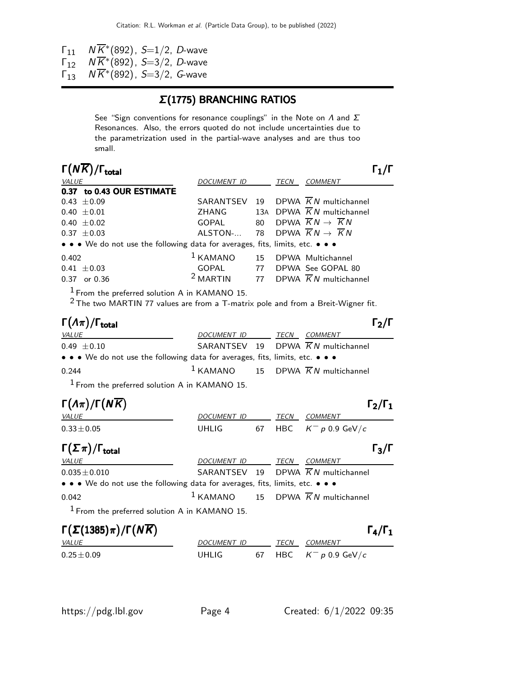$\Gamma_{11}$  N $\overline{K}^*$ (892), *S*=1/2, *D*-wave

 $\Gamma_{12}^{11}$   $N\overline{K}^*(892)$ , *S*=3/2, *D*-wave

 $\Gamma_{13}^{12}$   $N \overline{K}^*(892)$ ,  $S=3/2$ , G-wave

#### Σ(1775) BRANCHING RATIOS

See "Sign conventions for resonance couplings" in the Note on  $\Lambda$  and  $\Sigma$ Resonances. Also, the errors quoted do not include uncertainties due to the parametrization used in the partial-wave analyses and are thus too small.

| $\Gamma(N\overline{K})/\Gamma_{\rm total}$                                                                                                     |                    |    |      |                                                   |  |
|------------------------------------------------------------------------------------------------------------------------------------------------|--------------------|----|------|---------------------------------------------------|--|
| VALUE                                                                                                                                          | <i>DOCUMENT ID</i> |    | TECN | <b>COMMENT</b>                                    |  |
| 0.37 to 0.43 OUR ESTIMATE                                                                                                                      |                    |    |      |                                                   |  |
| $0.43 \pm 0.09$                                                                                                                                | SARANTSEV          |    |      | 19 DPWA $\overline{K}N$ multichannel              |  |
| $0.40 \pm 0.01$                                                                                                                                | ZHANG              |    |      | 13A DPWA $\overline{K}N$ multichannel             |  |
| $0.40 \pm 0.02$                                                                                                                                | GOPAL              | 80 |      | DPWA $\overline{K}N \rightarrow \overline{K}N$    |  |
| $0.37 \pm 0.03$                                                                                                                                | ALSTON-            |    |      | 78 DPWA $\overline{K}N \rightarrow \overline{K}N$ |  |
| • • • We do not use the following data for averages, fits, limits, etc. • • •                                                                  |                    |    |      |                                                   |  |
| 0.402                                                                                                                                          | $1$ KAMANO         |    |      | 15 DPWA Multichannel                              |  |
| $0.41 \pm 0.03$                                                                                                                                |                    |    |      | GOPAL 77 DPWA See GOPAL 80                        |  |
| $0.37$ or $0.36$                                                                                                                               | $2$ MARTIN         |    |      | 77 DPWA $\overline{K}N$ multichannel              |  |
| <sup>1</sup> From the preferred solution A in KAMANO 15.<br>$2$ The two MARTIN 77 values are from a T-matrix pole and from a Breit-Wigner fit. |                    |    |      |                                                   |  |
| $\Gamma(\Lambda \pi)$                                                                                                                          |                    |    |      |                                                   |  |

| $\left(\frac{1}{2}$                                                                                                   |                  |  |                                                          | 12/1 |
|-----------------------------------------------------------------------------------------------------------------------|------------------|--|----------------------------------------------------------|------|
| <i>VALUE</i>                                                                                                          | DOCUMENT ID TECN |  | <i>COMMENT</i>                                           |      |
| $0.49 \pm 0.10$                                                                                                       |                  |  | SARANTSEV 19 DPWA KN multichannel                        |      |
| $\bullet \bullet \bullet$ We do not use the following data for averages, fits, limits, etc. $\bullet \bullet \bullet$ |                  |  |                                                          |      |
| 0.244                                                                                                                 |                  |  | <sup>1</sup> KAMANO 15 DPWA $\overline{K}N$ multichannel |      |
|                                                                                                                       |                  |  |                                                          |      |

1 From the preferred solution A in KAMANO 15.

| $\Gamma(\Lambda \pi)/\Gamma(N\overline{K})$ |              |      |                                  | $\Gamma_2/\Gamma_1$ |
|---------------------------------------------|--------------|------|----------------------------------|---------------------|
| <i>VALUE</i>                                | DOCUMENT ID  | TECN | <i>COMMENT</i>                   |                     |
| $0.33 \pm 0.05$                             | <b>UHLIG</b> |      | 67 HBC $K^- p 0.9 \text{ GeV}/c$ |                     |
| $\Gamma(\Sigma \pi)/\Gamma_{\rm total}$     |              |      |                                  | $\Gamma_3/\Gamma$   |

| <i>VALUE</i>                                                                                                          | DOCUMENT ID TECN COMMENT |  |                                                          |  |
|-----------------------------------------------------------------------------------------------------------------------|--------------------------|--|----------------------------------------------------------|--|
| $0.035\pm0.010$                                                                                                       |                          |  | SARANTSEV 19 DPWA KN multichannel                        |  |
| $\bullet \bullet \bullet$ We do not use the following data for averages, fits, limits, etc. $\bullet \bullet \bullet$ |                          |  |                                                          |  |
| 0.042                                                                                                                 |                          |  | <sup>1</sup> KAMANO 15 DPWA $\overline{K}N$ multichannel |  |

1 From the preferred solution A in KAMANO 15.

| $\Gamma(\Sigma(1385)\pi)/\Gamma(N\overline{K})$ |                    |  |      |                          |
|-------------------------------------------------|--------------------|--|------|--------------------------|
| <i>VALUE</i>                                    | <i>DOCUMENT ID</i> |  | TFCN | COMMENT                  |
| $0.25 \pm 0.09$                                 | UHLIG.             |  |      | 67 HBC $K^- p 0.9$ GeV/c |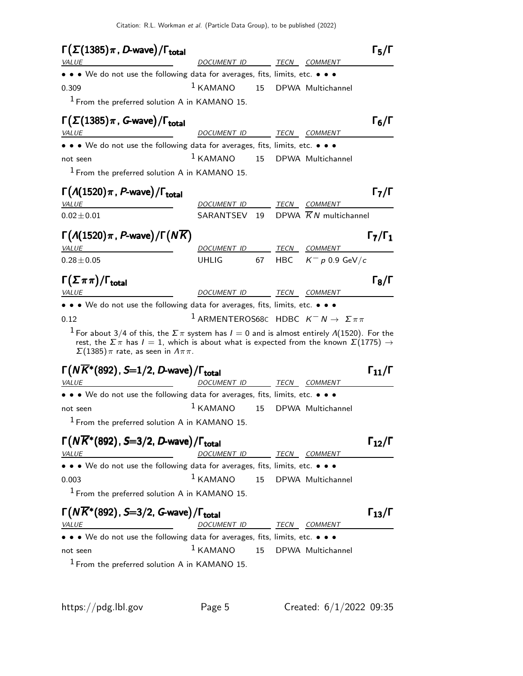| $\Gamma(\Sigma(1385)\pi, D$ -wave)/ $\Gamma_{\text{total}}$                                                                                                                                                                                                                                                            |                                                                    |    |      |                                   | $\Gamma_5/\Gamma$    |
|------------------------------------------------------------------------------------------------------------------------------------------------------------------------------------------------------------------------------------------------------------------------------------------------------------------------|--------------------------------------------------------------------|----|------|-----------------------------------|----------------------|
| <i>VALUE</i>                                                                                                                                                                                                                                                                                                           | DOCUMENT ID                                                        |    | TECN | <i>COMMENT</i>                    |                      |
| • • • We do not use the following data for averages, fits, limits, etc. • • •                                                                                                                                                                                                                                          |                                                                    |    |      |                                   |                      |
| 0.309                                                                                                                                                                                                                                                                                                                  | $1$ KAMANO                                                         | 15 |      | DPWA Multichannel                 |                      |
| $1$ From the preferred solution A in KAMANO 15.                                                                                                                                                                                                                                                                        |                                                                    |    |      |                                   |                      |
| $\Gamma(\Sigma(1385)\pi$ , G-wave)/ $\Gamma_{\text{total}}$                                                                                                                                                                                                                                                            |                                                                    |    |      |                                   | $\Gamma_6/\Gamma$    |
| <b>VALUE</b>                                                                                                                                                                                                                                                                                                           | DOCUMENT ID                                                        |    |      | TECN COMMENT                      |                      |
| • • • We do not use the following data for averages, fits, limits, etc. • • •                                                                                                                                                                                                                                          |                                                                    |    |      |                                   |                      |
| not seen                                                                                                                                                                                                                                                                                                               | $1$ KAMANO                                                         | 15 |      | DPWA Multichannel                 |                      |
| <sup>1</sup> From the preferred solution A in KAMANO 15.                                                                                                                                                                                                                                                               |                                                                    |    |      |                                   |                      |
| $\Gamma(A(1520)\pi, P$ -wave)/ $\Gamma_{\text{total}}$                                                                                                                                                                                                                                                                 |                                                                    |    |      |                                   | $\Gamma_7/\Gamma$    |
| <b>VALUE</b>                                                                                                                                                                                                                                                                                                           | DOCUMENT ID                                                        |    |      | TECN COMMENT                      |                      |
| $0.02 \pm 0.01$                                                                                                                                                                                                                                                                                                        | SARANTSEV 19                                                       |    |      | DPWA $\overline{K}N$ multichannel |                      |
|                                                                                                                                                                                                                                                                                                                        |                                                                    |    |      |                                   |                      |
| $\Gamma(A(1520)\pi, P$ -wave $)/\Gamma(N\overline{K})$                                                                                                                                                                                                                                                                 |                                                                    |    |      |                                   | $\Gamma_7/\Gamma_1$  |
| <i>VALUE</i>                                                                                                                                                                                                                                                                                                           | DOCUMENT ID                                                        |    | TECN | <i>COMMENT</i>                    |                      |
| $0.28 \pm 0.05$                                                                                                                                                                                                                                                                                                        | <b>UHLIG</b>                                                       | 67 |      | HBC $K^- p 0.9$ GeV/c             |                      |
|                                                                                                                                                                                                                                                                                                                        |                                                                    |    |      |                                   | $\Gamma_8/\Gamma$    |
|                                                                                                                                                                                                                                                                                                                        |                                                                    |    |      |                                   |                      |
|                                                                                                                                                                                                                                                                                                                        | DOCUMENT ID                                                        |    |      | TECN COMMENT                      |                      |
|                                                                                                                                                                                                                                                                                                                        |                                                                    |    |      |                                   |                      |
|                                                                                                                                                                                                                                                                                                                        | <sup>1</sup> ARMENTEROS68C HDBC $K^- N \rightarrow \Sigma \pi \pi$ |    |      |                                   |                      |
| <sup>1</sup> For about 3/4 of this, the $\Sigma \pi$ system has $I = 0$ and is almost entirely $\Lambda$ (1520). For the<br>rest, the $\Sigma \pi$ has $I = 1$ , which is about what is expected from the known $\Sigma(1775) \rightarrow$<br>$\Sigma(1385)\pi$ rate, as seen in $\Lambda\pi\pi$ .                     |                                                                    |    |      |                                   |                      |
|                                                                                                                                                                                                                                                                                                                        |                                                                    |    |      |                                   | $\Gamma_{11}/\Gamma$ |
|                                                                                                                                                                                                                                                                                                                        | DOCUMENT ID                                                        |    |      | <u>TECN COMMENT</u>               |                      |
| $\Gamma(\Sigma \pi \pi)/\Gamma_{\rm total}$<br><i>VALUE</i><br>• • • We do not use the following data for averages, fits, limits, etc. • • •<br>0.12<br>$\Gamma(N\overline{K}^*(892)$ , S=1/2, D-wave)/ $\Gamma_{\rm total}$<br>VALUE<br>• • • We do not use the following data for averages, fits, limits, etc. • • • |                                                                    |    |      |                                   |                      |
|                                                                                                                                                                                                                                                                                                                        | $1$ KAMANO                                                         | 15 |      | DPWA Multichannel                 |                      |
| not seen<br><sup>1</sup> From the preferred solution A in KAMANO 15.                                                                                                                                                                                                                                                   |                                                                    |    |      |                                   |                      |
|                                                                                                                                                                                                                                                                                                                        |                                                                    |    |      |                                   | $\Gamma_{12}/\Gamma$ |
|                                                                                                                                                                                                                                                                                                                        | DOCUMENT ID TECN COMMENT                                           |    |      |                                   |                      |
| $\Gamma(N\overline{K}^*(892)$ , S=3/2, D-wave)/ $\Gamma_{\rm total}$<br><i>VALUE</i><br>• • • We do not use the following data for averages, fits, limits, etc. • • •                                                                                                                                                  |                                                                    |    |      |                                   |                      |
|                                                                                                                                                                                                                                                                                                                        | $1$ KAMANO                                                         | 15 |      | DPWA Multichannel                 |                      |
| 0.003<br><sup>1</sup> From the preferred solution A in KAMANO 15.                                                                                                                                                                                                                                                      |                                                                    |    |      |                                   |                      |
|                                                                                                                                                                                                                                                                                                                        |                                                                    |    |      |                                   |                      |
| $\Gamma(N\overline{K}^*(892)$ , S=3/2, G-wave)/ $\Gamma_{\rm total}$                                                                                                                                                                                                                                                   |                                                                    |    |      |                                   | $\Gamma_{13}/\Gamma$ |
|                                                                                                                                                                                                                                                                                                                        | DOCUMENT ID TECN COMMENT                                           |    |      |                                   |                      |
| <i>VALUE</i><br>• • • We do not use the following data for averages, fits, limits, etc. • • •<br>not seen                                                                                                                                                                                                              | $1$ KAMANO                                                         | 15 |      | DPWA Multichannel                 |                      |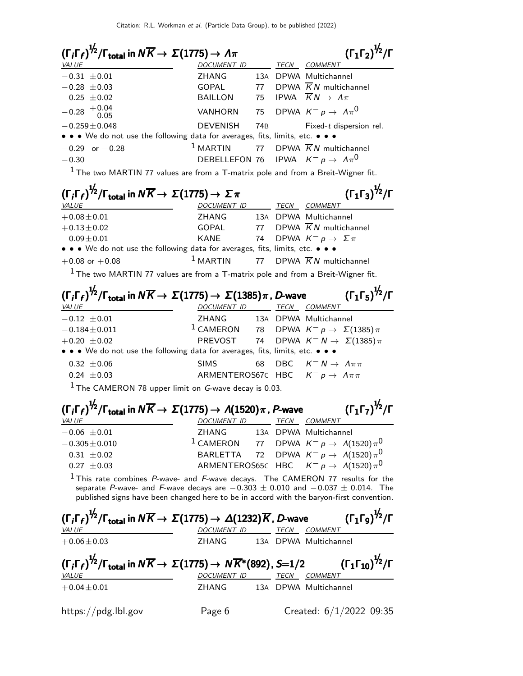| $(\Gamma_i \Gamma_f)^{\frac{1}{2}} / \Gamma_{\text{total}}$ in $N \overline{K} \rightarrow \Sigma (1775) \rightarrow \Lambda \pi$                                                                                                                                      |                             |                 | $(\Gamma_1 \Gamma_2)^{\frac{1}{2}} / \Gamma$                                          |
|------------------------------------------------------------------------------------------------------------------------------------------------------------------------------------------------------------------------------------------------------------------------|-----------------------------|-----------------|---------------------------------------------------------------------------------------|
| <b>VALUE</b>                                                                                                                                                                                                                                                           | DOCUMENT ID                 |                 | <b>TECN COMMENT</b>                                                                   |
| $-0.31 \pm 0.01$                                                                                                                                                                                                                                                       | ZHANG                       |                 | 13A DPWA Multichannel                                                                 |
| $-0.28 \pm 0.03$                                                                                                                                                                                                                                                       | GOPAL                       | 77              | DPWA $\overline{K}N$ multichannel                                                     |
| $-0.25 \pm 0.02$                                                                                                                                                                                                                                                       | BAILLON                     | 75              | IPWA $\overline{K}N \rightarrow \Lambda \pi$                                          |
| $-0.28$ $+0.04$<br>$-0.05$                                                                                                                                                                                                                                             | VANHORN                     | 75              | DPWA $K^- p \rightarrow A \pi^0$                                                      |
| $-0.259 \pm 0.048$<br>• • • We do not use the following data for averages, fits, limits, etc. • • •                                                                                                                                                                    | <b>DEVENISH</b>             | 74 <sub>B</sub> | Fixed-t dispersion rel.                                                               |
| $-0.29$ or $-0.28$                                                                                                                                                                                                                                                     | $1$ MARTIN                  | 77              | DPWA $\overline{K}N$ multichannel                                                     |
| $-0.30$                                                                                                                                                                                                                                                                | DEBELLEFON 76               |                 | IPWA $K^- p \to \Lambda \pi^0$                                                        |
| $1$ The two MARTIN 77 values are from a T-matrix pole and from a Breit-Wigner fit.                                                                                                                                                                                     |                             |                 |                                                                                       |
| $(\Gamma_i \Gamma_f)^{\frac{1}{2}} / \Gamma_{\text{total}}$ in $N \overline{K} \rightarrow \Sigma (1775) \rightarrow \Sigma \pi$                                                                                                                                       |                             |                 | $(\Gamma_1 \Gamma_3)^{\frac{1}{2}} / \Gamma$                                          |
| <u>VALUE</u>                                                                                                                                                                                                                                                           | DOCUMENT ID TECN COMMENT    |                 |                                                                                       |
| $+0.08 \pm 0.01$                                                                                                                                                                                                                                                       | ZHANG                       |                 | 13A DPWA Multichannel                                                                 |
| $+0.13 \pm 0.02$                                                                                                                                                                                                                                                       | GOPAL                       |                 | 77 DPWA $\overline{K}N$ multichannel                                                  |
| $0.09 \pm 0.01$                                                                                                                                                                                                                                                        | <b>KANE</b>                 | 74              | DPWA $K^- p \rightarrow \Sigma \pi$                                                   |
| • • • We do not use the following data for averages, fits, limits, etc. • • •                                                                                                                                                                                          |                             |                 |                                                                                       |
| $+0.08$ or $+0.08$                                                                                                                                                                                                                                                     | $1$ MARTIN                  | 77              | DPWA $\overline{K}N$ multichannel                                                     |
| $1$ The two MARTIN 77 values are from a T-matrix pole and from a Breit-Wigner fit.                                                                                                                                                                                     |                             |                 |                                                                                       |
| $\left(\Gamma_i\Gamma_f\right)^{\mathcal{V}_2}/\Gamma_\text{total}$ in $N\overline{K}\to\,\Sigma(1775)\to\,\Sigma(1385)\pi$ , D-wave<br><b>VALUE</b>                                                                                                                   | DOCUMENT ID TECN COMMENT    |                 | $(\Gamma_1 \Gamma_5)^{\frac{1}{2}} / \Gamma$                                          |
| $-0.12 \pm 0.01$                                                                                                                                                                                                                                                       | <b>ZHANG</b>                |                 | 13A DPWA Multichannel                                                                 |
| $-0.184 \pm 0.011$                                                                                                                                                                                                                                                     |                             |                 | <sup>1</sup> CAMERON 78 DPWA $K^- p \rightarrow \Sigma(1385) \pi$                     |
| $+0.20 \pm 0.02$                                                                                                                                                                                                                                                       | PREVOST                     | 74              | DPWA $K^-N \to \Sigma(1385)\pi$                                                       |
| • • • We do not use the following data for averages, fits, limits, etc. • • •                                                                                                                                                                                          |                             |                 |                                                                                       |
| $0.32 \pm 0.06$                                                                                                                                                                                                                                                        | <b>SIMS</b>                 | 68              | DBC $K^- N \rightarrow \Lambda \pi \pi$                                               |
| $0.24 \pm 0.03$                                                                                                                                                                                                                                                        |                             |                 | ARMENTEROS67C HBC $K^- p \to \Lambda \pi \pi$                                         |
| $1$ The CAMERON 78 upper limit on <i>G</i> -wave decay is 0.03.                                                                                                                                                                                                        |                             |                 |                                                                                       |
| $(\Gamma_f \Gamma_f)^{\frac{1}{2}} / \Gamma_{total}$ in $N \overline{K} \rightarrow \Sigma(1775) \rightarrow A(1520) \pi$ , P-wave<br><i>VALUE</i>                                                                                                                     | <u>DOCUMENT ID TECN</u>     |                 | $(\Gamma_1 \Gamma_7)^{\frac{1}{2}} / \Gamma$<br><u>COMMENT</u>                        |
| $-0.06 \pm 0.01$                                                                                                                                                                                                                                                       | ZHANG 13A DPWA Multichannel |                 |                                                                                       |
| $-0.305 \pm 0.010$                                                                                                                                                                                                                                                     |                             |                 | $^{-1}$ CAMERON 77 DPWA $\mathcal{K}^-\mathcal{p} \rightarrow \mathcal{A}(1520)\pi^0$ |
| $0.31 \pm 0.02$                                                                                                                                                                                                                                                        | BARLETTA                    |                 | 72 DPWA $K^- p \rightarrow A(1520) \pi^0$                                             |
| $0.27 \pm 0.03$                                                                                                                                                                                                                                                        |                             |                 | ARMENTEROS65C HBC $K^- p \rightarrow A(1520) \pi^0$                                   |
| $1$ This rate combines P-wave- and F-wave decays. The CAMERON 77 results for the<br>separate P-wave- and F-wave decays are $-0.303 \pm 0.010$ and $-0.037 \pm 0.014$ . The<br>published signs have been changed here to be in accord with the baryon-first convention. |                             |                 |                                                                                       |
| $(\Gamma_f\Gamma_f)^{\frac{1}{2}}/\Gamma_\text{total}$ in $N\overline{K}\to \Sigma(1775)\to \Delta(1232)\overline{K}$ , D-wave<br><b>VALUE</b>                                                                                                                         | DOCUMENT ID TECN COMMENT    |                 | $(\Gamma_1\Gamma_9)^{\frac{1}{2}}/\Gamma$                                             |
| $+0.06 \pm 0.03$                                                                                                                                                                                                                                                       | <b>ZHANG</b>                |                 | 13A DPWA Multichannel                                                                 |
| $(\Gamma_i \Gamma_f)^{\frac{1}{2}} / \Gamma_{total}$ in $N \overline{K} \rightarrow \Sigma(1775) \rightarrow N \overline{K}^*(892)$ , S=1/2                                                                                                                            |                             |                 | $(\Gamma_1 \Gamma_{10})^{1/2}/\Gamma$                                                 |
| <i>VALUE</i>                                                                                                                                                                                                                                                           | DOCUMENT ID TECN COMMENT    |                 |                                                                                       |
| $+0.04 \pm 0.01$                                                                                                                                                                                                                                                       | ZHANG                       |                 | 13A DPWA Multichannel                                                                 |
| https://pdg.lbl.gov                                                                                                                                                                                                                                                    | Page 6                      |                 | Created: $6/1/2022$ 09:35                                                             |